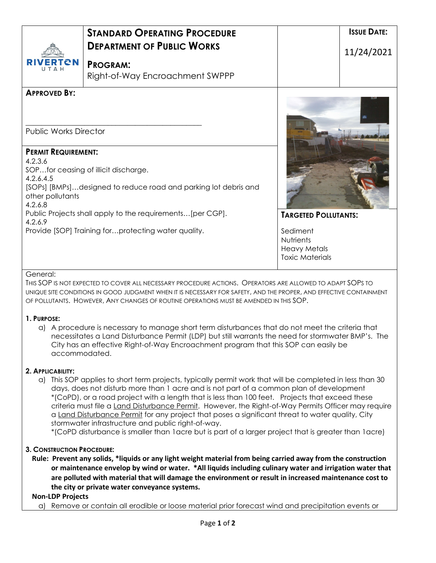| RIVERTEN                                                                                                                                                                                     | <b>STANDARD OPERATING PROCEDURE</b><br><b>DEPARTMENT OF PUBLIC WORKS</b>                                                                                                                                                                                                                                                  |                                                                               | <b>ISSUE DATE:</b><br>11/24/2021 |
|----------------------------------------------------------------------------------------------------------------------------------------------------------------------------------------------|---------------------------------------------------------------------------------------------------------------------------------------------------------------------------------------------------------------------------------------------------------------------------------------------------------------------------|-------------------------------------------------------------------------------|----------------------------------|
|                                                                                                                                                                                              | <b>PROGRAM:</b><br>Right-of-Way Encroachment SWPPP                                                                                                                                                                                                                                                                        |                                                                               |                                  |
| <b>APPROVED BY:</b>                                                                                                                                                                          |                                                                                                                                                                                                                                                                                                                           |                                                                               |                                  |
| <b>Public Works Director</b>                                                                                                                                                                 |                                                                                                                                                                                                                                                                                                                           |                                                                               |                                  |
| <b>PERMIT REQUIREMENT:</b><br>4.2.3.6<br>SOPfor ceasing of illicit discharge.<br>4.2.6.4.5<br>[SOPs] [BMPs]designed to reduce road and parking lot debris and<br>other pollutants<br>4.2.6.8 |                                                                                                                                                                                                                                                                                                                           |                                                                               |                                  |
| Public Projects shall apply to the requirements [per CGP].<br>4.2.6.9                                                                                                                        |                                                                                                                                                                                                                                                                                                                           | <b>TARGETED POLLUTANTS:</b>                                                   |                                  |
| Provide [SOP] Training forprotecting water quality.                                                                                                                                          |                                                                                                                                                                                                                                                                                                                           | Sediment<br><b>Nutrients</b><br><b>Heavy Metals</b><br><b>Toxic Materials</b> |                                  |
| General:                                                                                                                                                                                     | THIS SOP IS NOT EXPECTED TO COVER ALL NECESSARY PROCEDURE ACTIONS. OPERATORS ARE ALLOWED TO ADAPT SOPS TO<br>UNIQUE SITE CONDITIONS IN GOOD JUDGMENT WHEN IT IS NECESSARY FOR SAFETY, AND THE PROPER, AND EFFECTIVE CONTAINMENT<br>OF POLLUTANTS. HOWEVER, ANY CHANGES OF ROUTINE OPERATIONS MUST BE AMENDED IN THIS SOP. |                                                                               |                                  |

### **1. PURPOSE:**

a) A procedure is necessary to manage short term disturbances that do not meet the criteria that necessitates a Land Disturbance Permit (LDP) but still warrants the need for stormwater BMP's. The City has an effective Right-of-Way Encroachment program that this SOP can easily be accommodated.

### **2. APPLICABILITY:**

a) This SOP applies to short term projects, typically permit work that will be completed in less than 30 days, does not disturb more than 1 acre and is not part of a common plan of development \*(CoPD), or a road project with a length that is less than 100 feet. Projects that exceed these criteria must file a Land Disturbance Permit. However, the Right-of-Way Permits Officer may require a Land Disturbance Permit for any project that poses a significant threat to water quality, City stormwater infrastructure and public right-of-way.

\*(CoPD disturbance is smaller than 1acre but is part of a larger project that is greater than 1acre)

## **3. CONSTRUCTION PROCEDURE:**

**Rule: Prevent any solids, \*liquids or any light weight material from being carried away from the construction or maintenance envelop by wind or water. \*All liquids including culinary water and irrigation water that are polluted with material that will damage the environment or result in increased maintenance cost to the city or private water conveyance systems.**

## **Non-LDP Projects**

a) Remove or contain all erodible or loose material prior forecast wind and precipitation events or